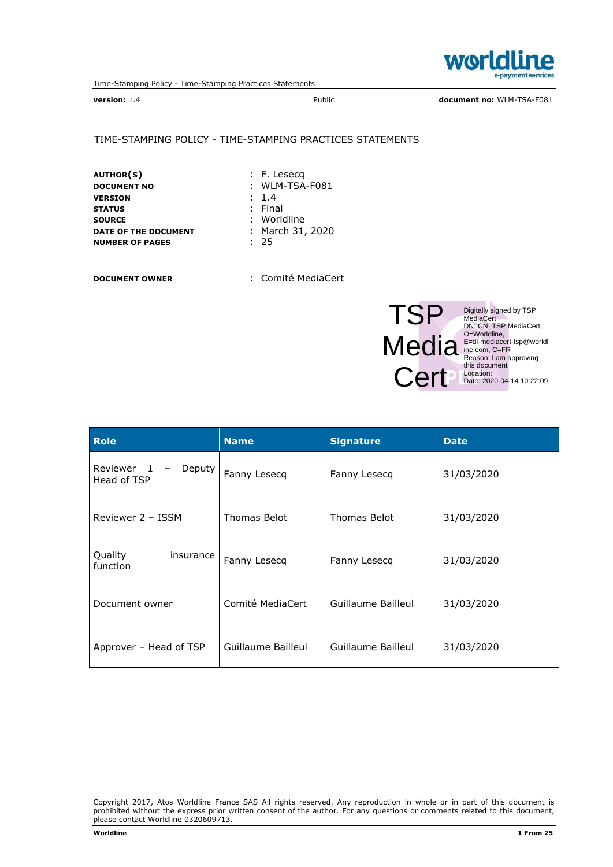

version: 1.4 **Public document no: WLM-TSA-F081** Public document no: WLM-TSA-F081

#### TIME-STAMPING POLICY - TIME-STAMPING PRACTICES STATEMENTS

AUTHOR(S)  $\qquad \qquad : F.$  Lesecq<br>Document No  $\qquad \qquad : WLM-TSA$ VERSION : 1.4<br>STATUS : Fina STATUS : Final<br>
SOURCE : World DATE OF THE DOCUMENT : Ma<br>
NUMBER OF PAGES : 25 **NUMBER OF PAGES** 

 $:$  WLM-TSA-F081 : Worldline<br>: March 31, 2020

DOCUMENT OWNER : Comité MediaCert



Digitally signed by TSP<br>
MediaCert<br>
DN: CN=TSP MediaCert,<br>
O=Worldline,<br>
E=dl-mediacert-tsp@worldl<br>
ine.com, C=FR<br>
Reason: I am approving<br>
this document<br>
Location:<br>
Location:<br>
Date: 2020-04-14 10:22:09

| <b>Role</b>                                                     | <b>Name</b>        | <b>Signature</b>   | <b>Date</b> |
|-----------------------------------------------------------------|--------------------|--------------------|-------------|
| Reviewer 1<br>Deputy<br>$\overline{\phantom{a}}$<br>Head of TSP | Fanny Lesecq       | Fanny Lesecq       | 31/03/2020  |
| Reviewer 2 - ISSM                                               | Thomas Belot       | Thomas Belot       | 31/03/2020  |
| Quality<br>insurance<br>function                                | Fanny Lesecq       | Fanny Lesecq       | 31/03/2020  |
| Document owner                                                  | Comité MediaCert   | Guillaume Bailleul | 31/03/2020  |
| Approver – Head of TSP                                          | Guillaume Bailleul | Guillaume Bailleul | 31/03/2020  |

Copyright 2017, Atos Worldline France SAS All rights reserved. Any reproduction in whole or in part of this document is prohibited without the express prior written consent of the author. For any questions or comments related to this document, please contact Worldline 0320609713.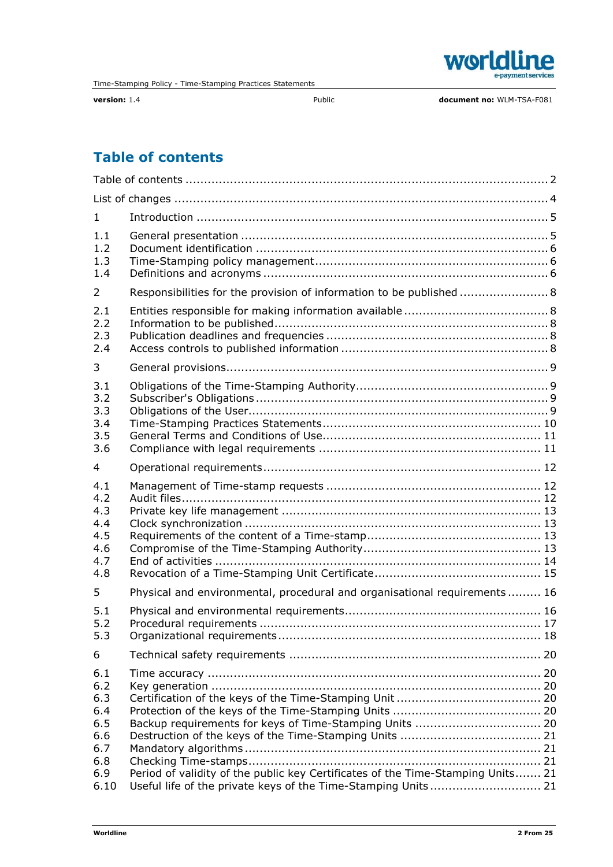

# Table of contents

| $\mathbf{1}$                                                        |                                                                                                                                                  |  |
|---------------------------------------------------------------------|--------------------------------------------------------------------------------------------------------------------------------------------------|--|
| 1.1<br>1.2<br>1.3<br>1.4                                            |                                                                                                                                                  |  |
| 2                                                                   | Responsibilities for the provision of information to be published  8                                                                             |  |
| 2.1<br>2.2<br>2.3<br>2.4                                            |                                                                                                                                                  |  |
| 3                                                                   |                                                                                                                                                  |  |
| 3.1<br>3.2<br>3.3<br>3.4<br>3.5<br>3.6                              |                                                                                                                                                  |  |
| 4                                                                   |                                                                                                                                                  |  |
| 4.1<br>4.2<br>4.3<br>4.4<br>4.5<br>4.6<br>4.7<br>4.8                |                                                                                                                                                  |  |
| 5                                                                   | Physical and environmental, procedural and organisational requirements 16                                                                        |  |
| 5.1<br>5.2<br>5.3                                                   |                                                                                                                                                  |  |
| 6                                                                   |                                                                                                                                                  |  |
| 6.1<br>6.2<br>6.3<br>6.4<br>6.5<br>6.6<br>6.7<br>6.8<br>6.9<br>6.10 | Period of validity of the public key Certificates of the Time-Stamping Units 21<br>Useful life of the private keys of the Time-Stamping Units 21 |  |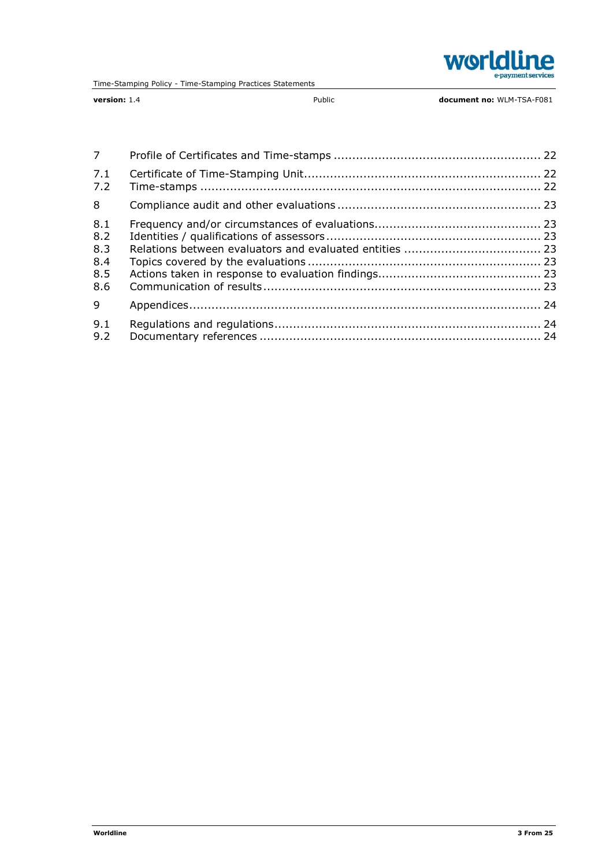

version: 1.4 **Public** Public **document no: WLM-TSA-F081** 

| $7^{\circ}$                            |  |
|----------------------------------------|--|
| 7.1<br>7.2                             |  |
| 8                                      |  |
| 8.1<br>8.2<br>8.3<br>8.4<br>8.5<br>8.6 |  |
| 9                                      |  |
| 9.1<br>9.2                             |  |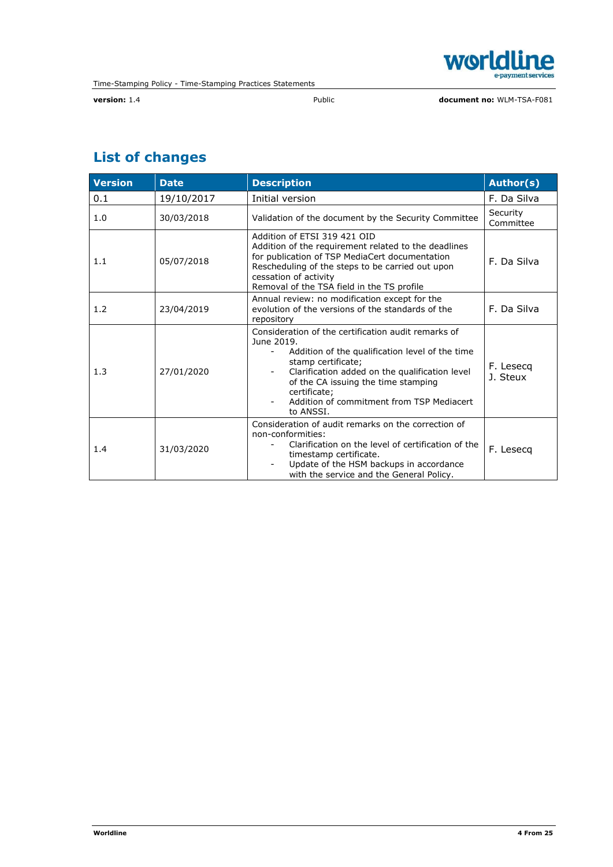

# List of changes

| <b>Version</b> | <b>Date</b> | <b>Description</b>                                                                                                                                                                                                                                                                                            | Author(s)             |
|----------------|-------------|---------------------------------------------------------------------------------------------------------------------------------------------------------------------------------------------------------------------------------------------------------------------------------------------------------------|-----------------------|
| 0.1            | 19/10/2017  | Initial version                                                                                                                                                                                                                                                                                               | F. Da Silva           |
| 1.0            | 30/03/2018  | Validation of the document by the Security Committee                                                                                                                                                                                                                                                          | Security<br>Committee |
| 1.1            | 05/07/2018  | Addition of ETSI 319 421 OID<br>Addition of the requirement related to the deadlines<br>for publication of TSP MediaCert documentation<br>Rescheduling of the steps to be carried out upon<br>cessation of activity<br>Removal of the TSA field in the TS profile                                             | F. Da Silva           |
| 1.2            | 23/04/2019  | Annual review: no modification except for the<br>evolution of the versions of the standards of the<br>repository                                                                                                                                                                                              | F. Da Silva           |
| 1.3            | 27/01/2020  | Consideration of the certification audit remarks of<br>June 2019.<br>Addition of the qualification level of the time<br>stamp certificate;<br>Clarification added on the qualification level<br>of the CA issuing the time stamping<br>certificate;<br>Addition of commitment from TSP Mediacert<br>to ANSSI. | F. Lesecq<br>J. Steux |
| 1.4            | 31/03/2020  | Consideration of audit remarks on the correction of<br>non-conformities:<br>Clarification on the level of certification of the<br>timestamp certificate.<br>Update of the HSM backups in accordance<br>with the service and the General Policy.                                                               | F. Lesecq             |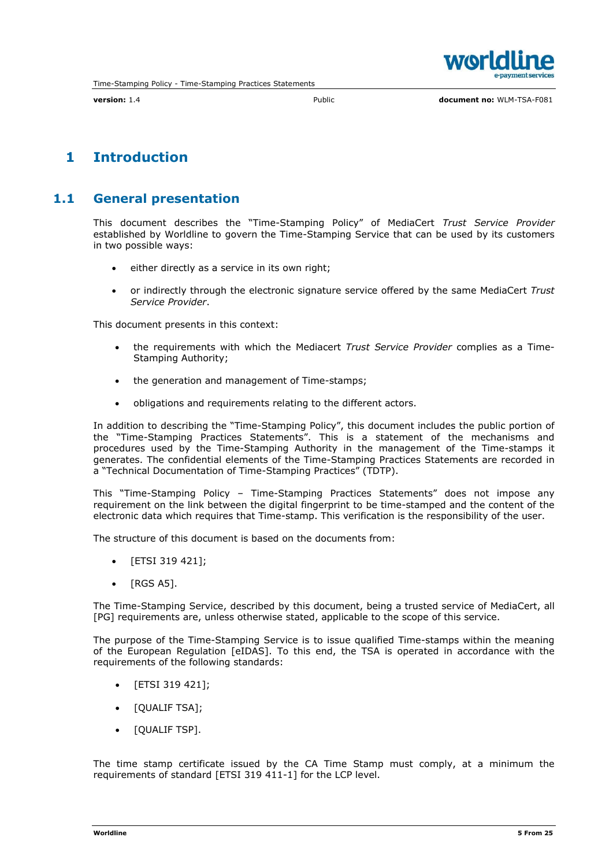

## 1 Introduction

## 1.1 General presentation

This document describes the "Time-Stamping Policy" of MediaCert *Trust Service Provider* established by Worldline to govern the Time-Stamping Service that can be used by its customers in two possible ways:

- either directly as a service in its own right;
- or indirectly through the electronic signature service offered by the same MediaCert *Trust Service Provider*.

This document presents in this context:

- the requirements with which the Mediacert *Trust Service Provider* complies as a Time-Stamping Authority;
- the generation and management of Time-stamps;
- obligations and requirements relating to the different actors.

In addition to describing the "Time-Stamping Policy", this document includes the public portion of the "Time-Stamping Practices Statements". This is a statement of the mechanisms and procedures used by the Time-Stamping Authority in the management of the Time-stamps it generates. The confidential elements of the Time-Stamping Practices Statements are recorded in a "Technical Documentation of Time-Stamping Practices" (TDTP).

This "Time-Stamping Policy – Time-Stamping Practices Statements" does not impose any requirement on the link between the digital fingerprint to be time-stamped and the content of the electronic data which requires that Time-stamp. This verification is the responsibility of the user.

The structure of this document is based on the documents from:

- [ETSI 319 421];
- [RGS A5].

The Time-Stamping Service, described by this document, being a trusted service of MediaCert, all [PG] requirements are, unless otherwise stated, applicable to the scope of this service.

The purpose of the Time-Stamping Service is to issue qualified Time-stamps within the meaning of the European Regulation [eIDAS]. To this end, the TSA is operated in accordance with the requirements of the following standards:

- [ETSI 319 421];
- [QUALIF TSA];
- [QUALIF TSP].

The time stamp certificate issued by the CA Time Stamp must comply, at a minimum the requirements of standard [ETSI 319 411-1] for the LCP level.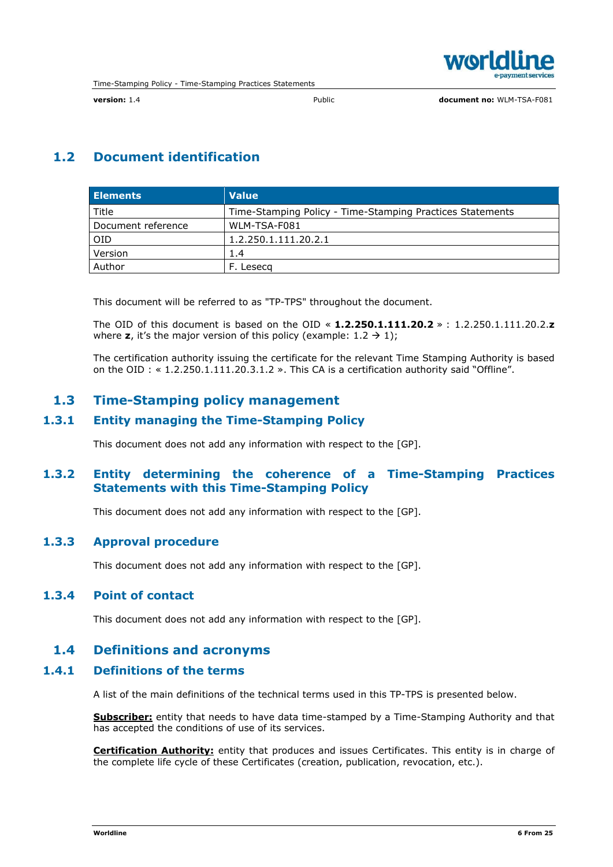

## 1.2 Document identification

| <b>Elements</b>    | <b>Value</b>                                              |
|--------------------|-----------------------------------------------------------|
| Title              | Time-Stamping Policy - Time-Stamping Practices Statements |
| Document reference | WLM-TSA-F081                                              |
| <b>OID</b>         | 1.2.250.1.111.20.2.1                                      |
| Version            | 1.4                                                       |
| Author             | Leseca                                                    |

This document will be referred to as "TP-TPS" throughout the document.

The OID of this document is based on the OID  $\le 1.2.250.1.111.20.2 \ge 1.2.250.1.111.20.2.2$ where z, it's the major version of this policy (example:  $1.2 \rightarrow 1$ );

The certification authority issuing the certificate for the relevant Time Stamping Authority is based on the OID : « 1.2.250.1.111.20.3.1.2 ». This CA is a certification authority said "Offline".

## 1.3 Time-Stamping policy management

#### 1.3.1 Entity managing the Time-Stamping Policy

This document does not add any information with respect to the [GP].

#### 1.3.2 Entity determining the coherence of a Time-Stamping Practices Statements with this Time-Stamping Policy

This document does not add any information with respect to the [GP].

#### 1.3.3 Approval procedure

This document does not add any information with respect to the [GP].

#### 1.3.4 Point of contact

This document does not add any information with respect to the [GP].

#### 1.4 Definitions and acronyms

#### 1.4.1 Definitions of the terms

A list of the main definitions of the technical terms used in this TP-TPS is presented below.

Subscriber: entity that needs to have data time-stamped by a Time-Stamping Authority and that has accepted the conditions of use of its services.

Certification Authority: entity that produces and issues Certificates. This entity is in charge of the complete life cycle of these Certificates (creation, publication, revocation, etc.).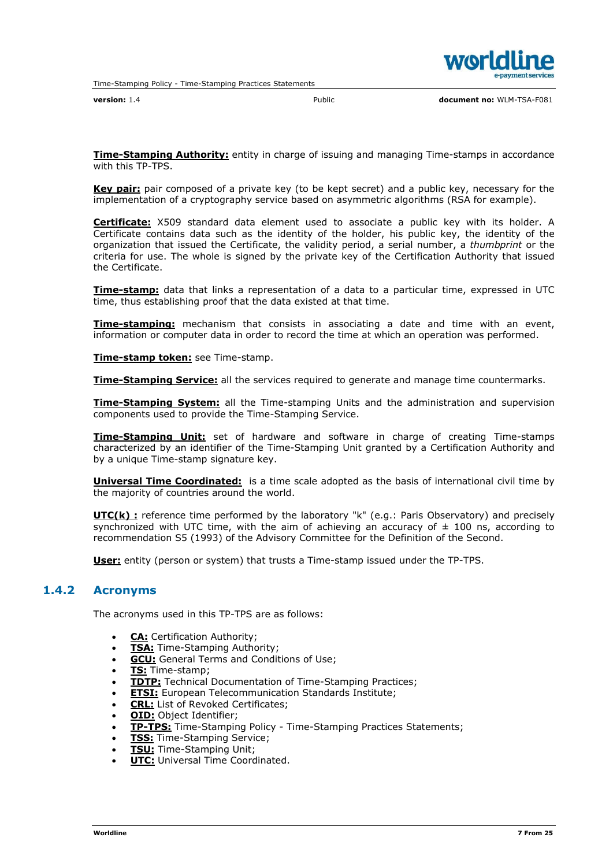

**Time-Stamping Authority:** entity in charge of issuing and managing Time-stamps in accordance with this TP-TPS.

Key pair: pair composed of a private key (to be kept secret) and a public key, necessary for the implementation of a cryptography service based on asymmetric algorithms (RSA for example).

**Certificate:** X509 standard data element used to associate a public key with its holder. A Certificate contains data such as the identity of the holder, his public key, the identity of the organization that issued the Certificate, the validity period, a serial number, a *thumbprint* or the criteria for use. The whole is signed by the private key of the Certification Authority that issued the Certificate.

**Time-stamp:** data that links a representation of a data to a particular time, expressed in UTC time, thus establishing proof that the data existed at that time.

**Time-stamping:** mechanism that consists in associating a date and time with an event, information or computer data in order to record the time at which an operation was performed.

Time-stamp token: see Time-stamp.

**Time-Stamping Service:** all the services required to generate and manage time countermarks.

**Time-Stamping System:** all the Time-stamping Units and the administration and supervision components used to provide the Time-Stamping Service.

**Time-Stamping Unit:** set of hardware and software in charge of creating Time-stamps characterized by an identifier of the Time-Stamping Unit granted by a Certification Authority and by a unique Time-stamp signature key.

Universal Time Coordinated: is a time scale adopted as the basis of international civil time by the majority of countries around the world.

UTC(k) : reference time performed by the laboratory "k" (e.g.: Paris Observatory) and precisely synchronized with UTC time, with the aim of achieving an accuracy of  $\pm$  100 ns, according to recommendation S5 (1993) of the Advisory Committee for the Definition of the Second.

User: entity (person or system) that trusts a Time-stamp issued under the TP-TPS.

#### 1.4.2 Acronyms

The acronyms used in this TP-TPS are as follows:

- CA: Certification Authority;
- **TSA:** Time-Stamping Authority;
- **GCU:** General Terms and Conditions of Use;
- TS: Time-stamp;
- **TDTP:** Technical Documentation of Time-Stamping Practices;
- **ETSI:** European Telecommunication Standards Institute;
- **CRL:** List of Revoked Certificates;
- OID: Object Identifier;
- TP-TPS: Time-Stamping Policy Time-Stamping Practices Statements;
- **TSS:** Time-Stamping Service;
- **TSU:** Time-Stamping Unit;
- UTC: Universal Time Coordinated.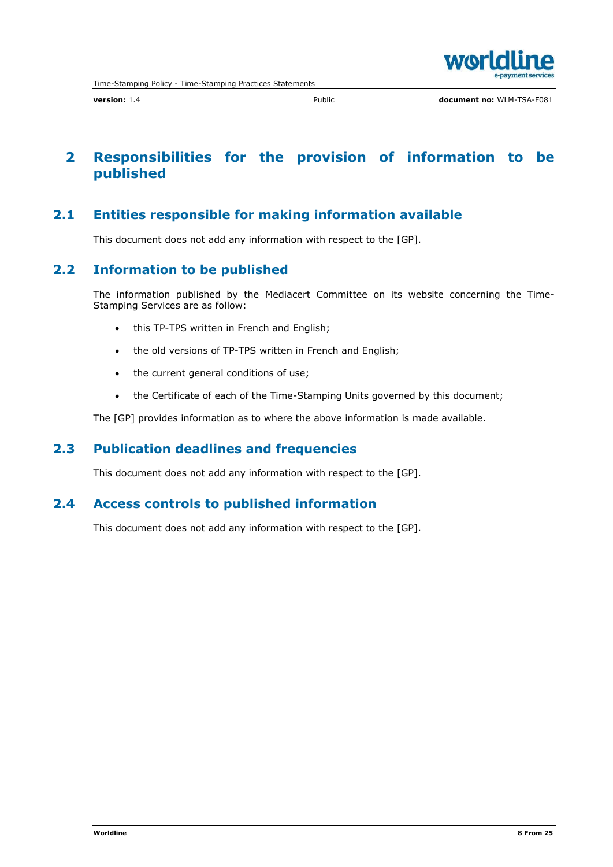

## 2 Responsibilities for the provision of information to be published

## 2.1 Entities responsible for making information available

This document does not add any information with respect to the [GP].

## 2.2 Information to be published

The information published by the Mediacert Committee on its website concerning the Time-Stamping Services are as follow:

- this TP-TPS written in French and English;
- the old versions of TP-TPS written in French and English;
- the current general conditions of use;
- the Certificate of each of the Time-Stamping Units governed by this document;

The [GP] provides information as to where the above information is made available.

### 2.3 Publication deadlines and frequencies

This document does not add any information with respect to the [GP].

### 2.4 Access controls to published information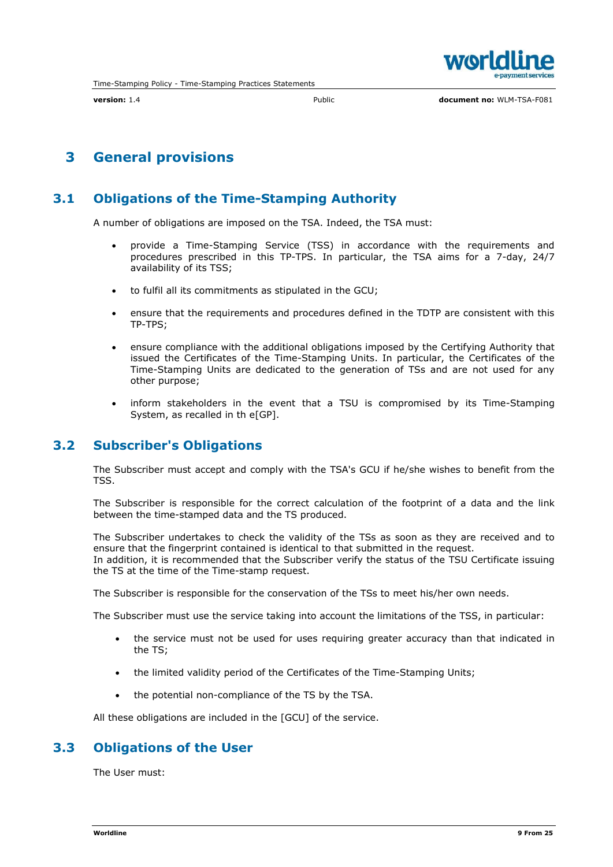

## 3 General provisions

## 3.1 Obligations of the Time-Stamping Authority

A number of obligations are imposed on the TSA. Indeed, the TSA must:

- provide a Time-Stamping Service (TSS) in accordance with the requirements and procedures prescribed in this TP-TPS. In particular, the TSA aims for a 7-day, 24/7 availability of its TSS;
- to fulfil all its commitments as stipulated in the GCU;
- ensure that the requirements and procedures defined in the TDTP are consistent with this TP-TPS;
- ensure compliance with the additional obligations imposed by the Certifying Authority that issued the Certificates of the Time-Stamping Units. In particular, the Certificates of the Time-Stamping Units are dedicated to the generation of TSs and are not used for any other purpose;
- inform stakeholders in the event that a TSU is compromised by its Time-Stamping System, as recalled in th e[GP].

## 3.2 Subscriber's Obligations

The Subscriber must accept and comply with the TSA's GCU if he/she wishes to benefit from the TSS.

The Subscriber is responsible for the correct calculation of the footprint of a data and the link between the time-stamped data and the TS produced.

The Subscriber undertakes to check the validity of the TSs as soon as they are received and to ensure that the fingerprint contained is identical to that submitted in the request. In addition, it is recommended that the Subscriber verify the status of the TSU Certificate issuing the TS at the time of the Time-stamp request.

The Subscriber is responsible for the conservation of the TSs to meet his/her own needs.

The Subscriber must use the service taking into account the limitations of the TSS, in particular:

- the service must not be used for uses requiring greater accuracy than that indicated in the TS;
- the limited validity period of the Certificates of the Time-Stamping Units;
- the potential non-compliance of the TS by the TSA.

All these obligations are included in the [GCU] of the service.

## 3.3 Obligations of the User

The User must: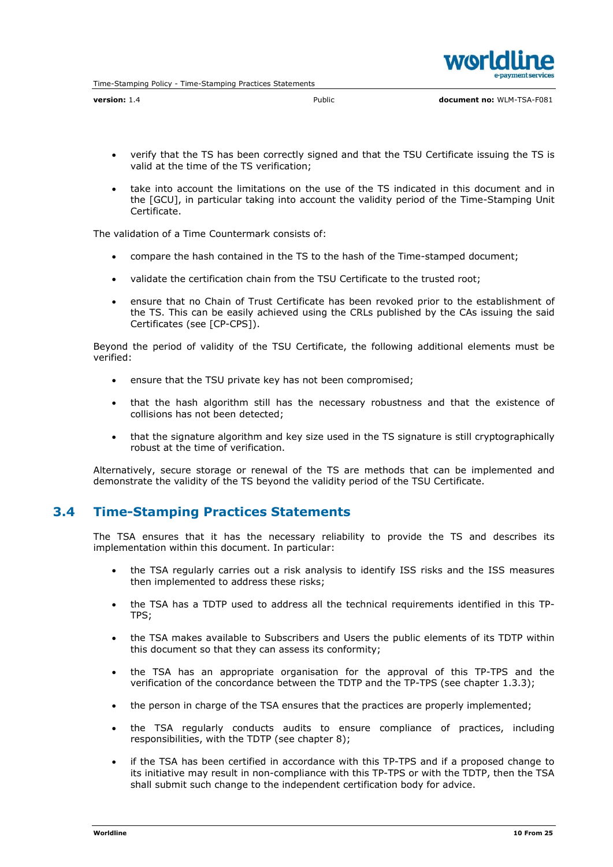- verify that the TS has been correctly signed and that the TSU Certificate issuing the TS is valid at the time of the TS verification;
- take into account the limitations on the use of the TS indicated in this document and in the [GCU], in particular taking into account the validity period of the Time-Stamping Unit Certificate.

The validation of a Time Countermark consists of:

- compare the hash contained in the TS to the hash of the Time-stamped document;
- validate the certification chain from the TSU Certificate to the trusted root;
- ensure that no Chain of Trust Certificate has been revoked prior to the establishment of the TS. This can be easily achieved using the CRLs published by the CAs issuing the said Certificates (see [CP-CPS]).

Beyond the period of validity of the TSU Certificate, the following additional elements must be verified:

- ensure that the TSU private key has not been compromised;
- that the hash algorithm still has the necessary robustness and that the existence of collisions has not been detected;
- that the signature algorithm and key size used in the TS signature is still cryptographically robust at the time of verification.

Alternatively, secure storage or renewal of the TS are methods that can be implemented and demonstrate the validity of the TS beyond the validity period of the TSU Certificate.

#### 3.4 Time-Stamping Practices Statements

The TSA ensures that it has the necessary reliability to provide the TS and describes its implementation within this document. In particular:

- the TSA regularly carries out a risk analysis to identify ISS risks and the ISS measures then implemented to address these risks;
- the TSA has a TDTP used to address all the technical requirements identified in this TP-TPS;
- the TSA makes available to Subscribers and Users the public elements of its TDTP within this document so that they can assess its conformity;
- the TSA has an appropriate organisation for the approval of this TP-TPS and the verification of the concordance between the TDTP and the TP-TPS (see chapter 1.3.3);
- the person in charge of the TSA ensures that the practices are properly implemented;
- the TSA regularly conducts audits to ensure compliance of practices, including responsibilities, with the TDTP (see chapter 8);
- if the TSA has been certified in accordance with this TP-TPS and if a proposed change to its initiative may result in non-compliance with this TP-TPS or with the TDTP, then the TSA shall submit such change to the independent certification body for advice.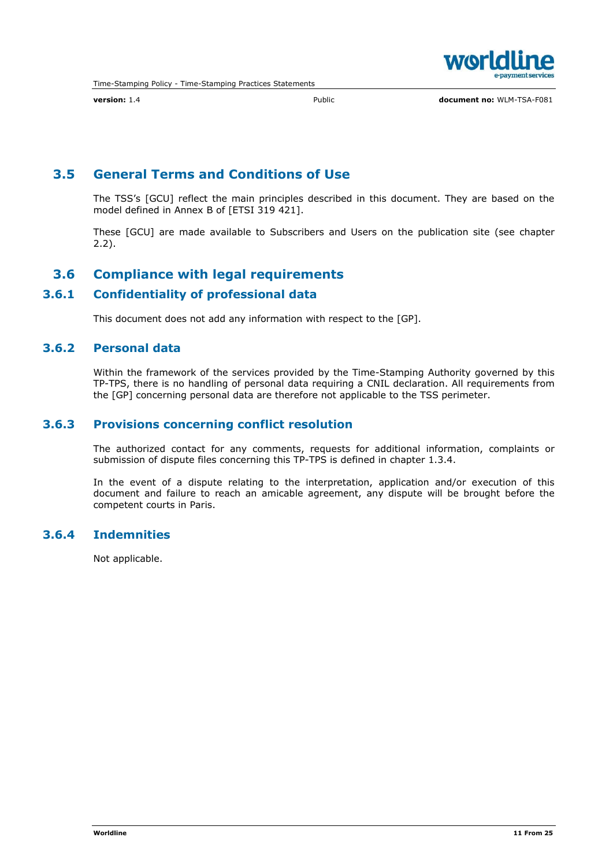

## 3.5 General Terms and Conditions of Use

The TSS's [GCU] reflect the main principles described in this document. They are based on the model defined in Annex B of [ETSI 319 421].

These [GCU] are made available to Subscribers and Users on the publication site (see chapter 2.2).

## 3.6 Compliance with legal requirements

#### 3.6.1 Confidentiality of professional data

This document does not add any information with respect to the [GP].

#### 3.6.2 Personal data

Within the framework of the services provided by the Time-Stamping Authority governed by this TP-TPS, there is no handling of personal data requiring a CNIL declaration. All requirements from the [GP] concerning personal data are therefore not applicable to the TSS perimeter.

#### 3.6.3 Provisions concerning conflict resolution

The authorized contact for any comments, requests for additional information, complaints or submission of dispute files concerning this TP-TPS is defined in chapter 1.3.4.

In the event of a dispute relating to the interpretation, application and/or execution of this document and failure to reach an amicable agreement, any dispute will be brought before the competent courts in Paris.

### 3.6.4 Indemnities

Not applicable.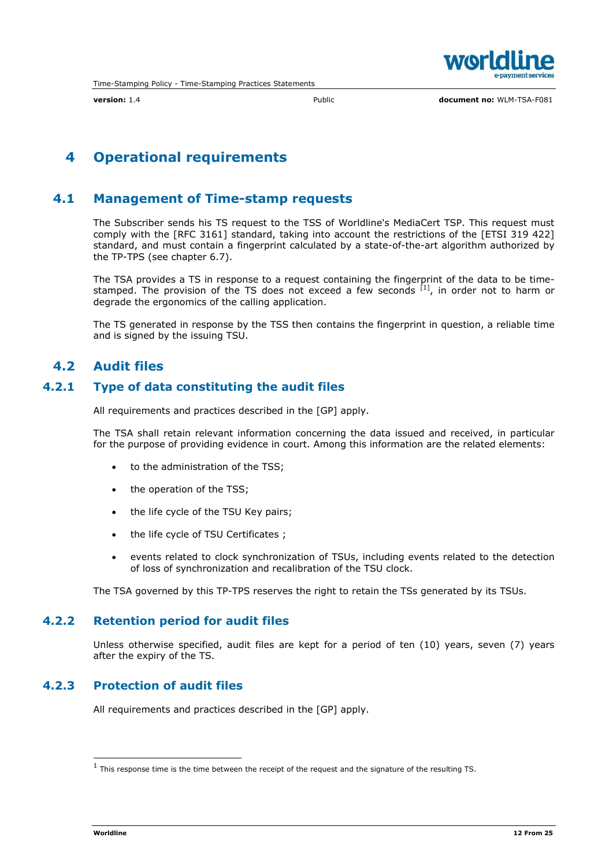

## 4 Operational requirements

## 4.1 Management of Time-stamp requests

The Subscriber sends his TS request to the TSS of Worldline's MediaCert TSP. This request must comply with the [RFC 3161] standard, taking into account the restrictions of the [ETSI 319 422] standard, and must contain a fingerprint calculated by a state-of-the-art algorithm authorized by the TP-TPS (see chapter 6.7).

The TSA provides a TS in response to a request containing the fingerprint of the data to be timestamped. The provision of the TS does not exceed a few seconds <sup>[1]</sup>, in order not to harm or degrade the ergonomics of the calling application.

The TS generated in response by the TSS then contains the fingerprint in question, a reliable time and is signed by the issuing TSU.

## 4.2 Audit files

#### 4.2.1 Type of data constituting the audit files

All requirements and practices described in the [GP] apply.

The TSA shall retain relevant information concerning the data issued and received, in particular for the purpose of providing evidence in court. Among this information are the related elements:

- to the administration of the TSS;
- the operation of the TSS;
- the life cycle of the TSU Key pairs;
- the life cycle of TSU Certificates ;
- events related to clock synchronization of TSUs, including events related to the detection of loss of synchronization and recalibration of the TSU clock.

The TSA governed by this TP-TPS reserves the right to retain the TSs generated by its TSUs.

#### 4.2.2 Retention period for audit files

Unless otherwise specified, audit files are kept for a period of ten (10) years, seven (7) years after the expiry of the TS.

#### 4.2.3 Protection of audit files

All requirements and practices described in the [GP] apply.

 $1$  This response time is the time between the receipt of the request and the signature of the resulting TS.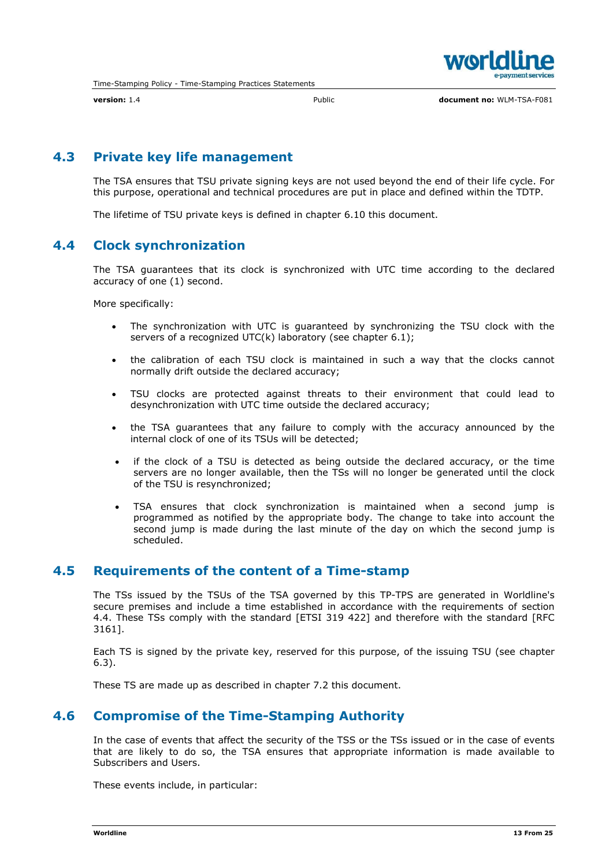

## 4.3 Private key life management

The TSA ensures that TSU private signing keys are not used beyond the end of their life cycle. For this purpose, operational and technical procedures are put in place and defined within the TDTP.

The lifetime of TSU private keys is defined in chapter 6.10 this document.

## 4.4 Clock synchronization

The TSA guarantees that its clock is synchronized with UTC time according to the declared accuracy of one (1) second.

More specifically:

- The synchronization with UTC is guaranteed by synchronizing the TSU clock with the servers of a recognized UTC(k) laboratory (see chapter 6.1);
- the calibration of each TSU clock is maintained in such a way that the clocks cannot normally drift outside the declared accuracy;
- TSU clocks are protected against threats to their environment that could lead to desynchronization with UTC time outside the declared accuracy;
- the TSA guarantees that any failure to comply with the accuracy announced by the internal clock of one of its TSUs will be detected;
- if the clock of a TSU is detected as being outside the declared accuracy, or the time servers are no longer available, then the TSs will no longer be generated until the clock of the TSU is resynchronized;
- TSA ensures that clock synchronization is maintained when a second jump is programmed as notified by the appropriate body. The change to take into account the second jump is made during the last minute of the day on which the second jump is scheduled.

### 4.5 Requirements of the content of a Time-stamp

The TSs issued by the TSUs of the TSA governed by this TP-TPS are generated in Worldline's secure premises and include a time established in accordance with the requirements of section 4.4. These TSs comply with the standard [ETSI 319 422] and therefore with the standard [RFC 3161].

Each TS is signed by the private key, reserved for this purpose, of the issuing TSU (see chapter 6.3).

These TS are made up as described in chapter 7.2 this document.

## 4.6 Compromise of the Time-Stamping Authority

In the case of events that affect the security of the TSS or the TSs issued or in the case of events that are likely to do so, the TSA ensures that appropriate information is made available to Subscribers and Users.

These events include, in particular: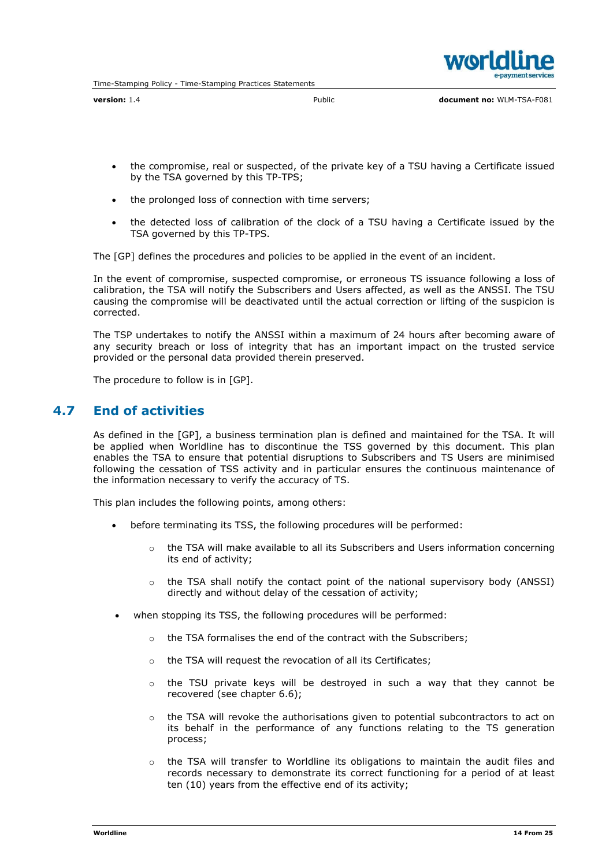

version: 1.4 Public document no: WLM-TSA-F081

- the compromise, real or suspected, of the private key of a TSU having a Certificate issued by the TSA governed by this TP-TPS;
- the prolonged loss of connection with time servers;
- the detected loss of calibration of the clock of a TSU having a Certificate issued by the TSA governed by this TP-TPS.

The [GP] defines the procedures and policies to be applied in the event of an incident.

In the event of compromise, suspected compromise, or erroneous TS issuance following a loss of calibration, the TSA will notify the Subscribers and Users affected, as well as the ANSSI. The TSU causing the compromise will be deactivated until the actual correction or lifting of the suspicion is corrected.

The TSP undertakes to notify the ANSSI within a maximum of 24 hours after becoming aware of any security breach or loss of integrity that has an important impact on the trusted service provided or the personal data provided therein preserved.

The procedure to follow is in [GP].

#### 4.7 End of activities

As defined in the [GP], a business termination plan is defined and maintained for the TSA. It will be applied when Worldline has to discontinue the TSS governed by this document. This plan enables the TSA to ensure that potential disruptions to Subscribers and TS Users are minimised following the cessation of TSS activity and in particular ensures the continuous maintenance of the information necessary to verify the accuracy of TS.

This plan includes the following points, among others:

- before terminating its TSS, the following procedures will be performed:
	- $\circ$  the TSA will make available to all its Subscribers and Users information concerning its end of activity;
	- $\circ$  the TSA shall notify the contact point of the national supervisory body (ANSSI) directly and without delay of the cessation of activity;
- when stopping its TSS, the following procedures will be performed:
	- o the TSA formalises the end of the contract with the Subscribers;
	- o the TSA will request the revocation of all its Certificates;
	- $\circ$  the TSU private keys will be destroyed in such a way that they cannot be recovered (see chapter 6.6);
	- $\circ$  the TSA will revoke the authorisations given to potential subcontractors to act on its behalf in the performance of any functions relating to the TS generation process;
	- $\circ$  the TSA will transfer to Worldline its obligations to maintain the audit files and records necessary to demonstrate its correct functioning for a period of at least ten (10) years from the effective end of its activity;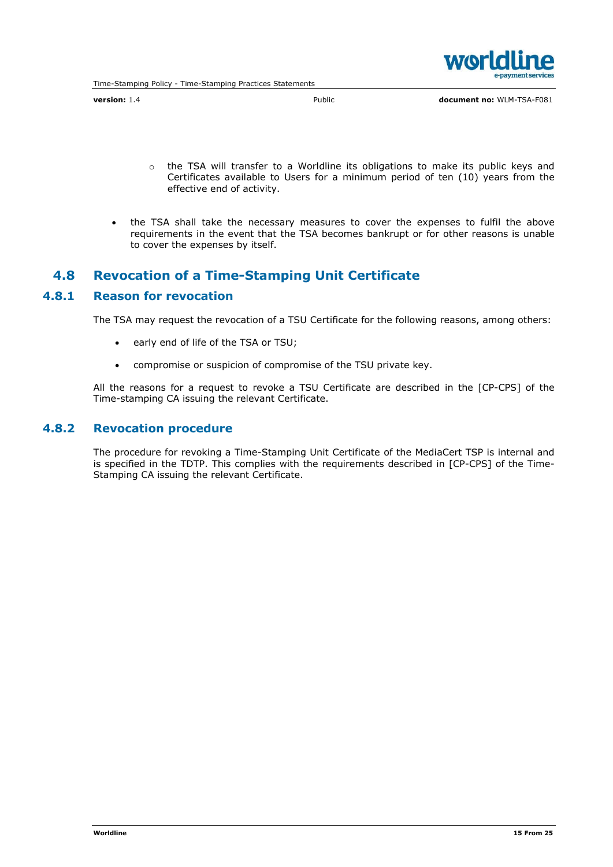

version: 1.4 **Public** Public **document no: WLM-TSA-F081** 

- o the TSA will transfer to a Worldline its obligations to make its public keys and Certificates available to Users for a minimum period of ten (10) years from the effective end of activity.
- the TSA shall take the necessary measures to cover the expenses to fulfil the above requirements in the event that the TSA becomes bankrupt or for other reasons is unable to cover the expenses by itself.

#### 4.8 Revocation of a Time-Stamping Unit Certificate

#### 4.8.1 Reason for revocation

The TSA may request the revocation of a TSU Certificate for the following reasons, among others:

- early end of life of the TSA or TSU;
- compromise or suspicion of compromise of the TSU private key.

All the reasons for a request to revoke a TSU Certificate are described in the [CP-CPS] of the Time-stamping CA issuing the relevant Certificate.

#### 4.8.2 Revocation procedure

The procedure for revoking a Time-Stamping Unit Certificate of the MediaCert TSP is internal and is specified in the TDTP. This complies with the requirements described in [CP-CPS] of the Time-Stamping CA issuing the relevant Certificate.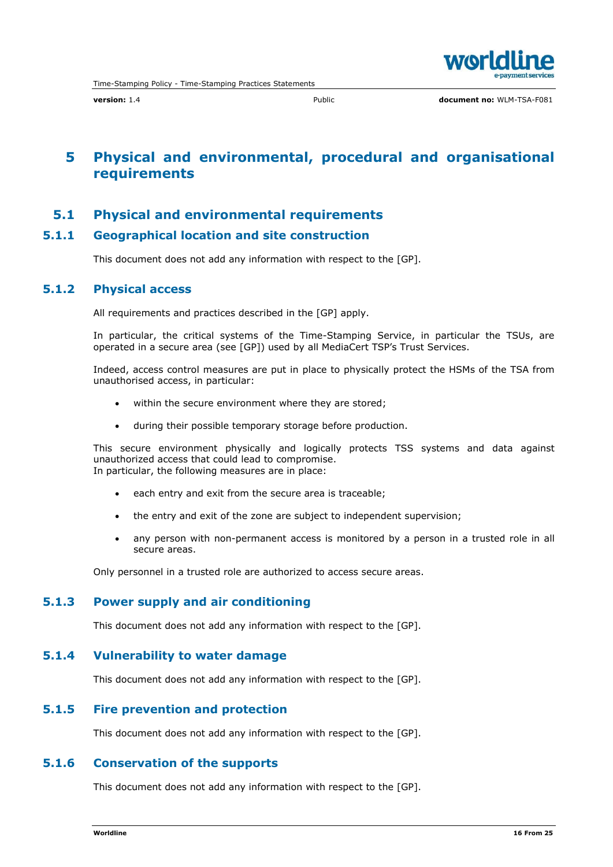

## 5 Physical and environmental, procedural and organisational requirements

#### 5.1 Physical and environmental requirements

#### 5.1.1 Geographical location and site construction

This document does not add any information with respect to the [GP].

#### 5.1.2 Physical access

All requirements and practices described in the [GP] apply.

In particular, the critical systems of the Time-Stamping Service, in particular the TSUs, are operated in a secure area (see [GP]) used by all MediaCert TSP's Trust Services.

Indeed, access control measures are put in place to physically protect the HSMs of the TSA from unauthorised access, in particular:

- within the secure environment where they are stored;
- during their possible temporary storage before production.

This secure environment physically and logically protects TSS systems and data against unauthorized access that could lead to compromise. In particular, the following measures are in place:

- each entry and exit from the secure area is traceable;
- the entry and exit of the zone are subject to independent supervision;
- any person with non-permanent access is monitored by a person in a trusted role in all secure areas.

Only personnel in a trusted role are authorized to access secure areas.

#### 5.1.3 Power supply and air conditioning

This document does not add any information with respect to the [GP].

#### 5.1.4 Vulnerability to water damage

This document does not add any information with respect to the [GP].

#### 5.1.5 Fire prevention and protection

This document does not add any information with respect to the [GP].

#### 5.1.6 Conservation of the supports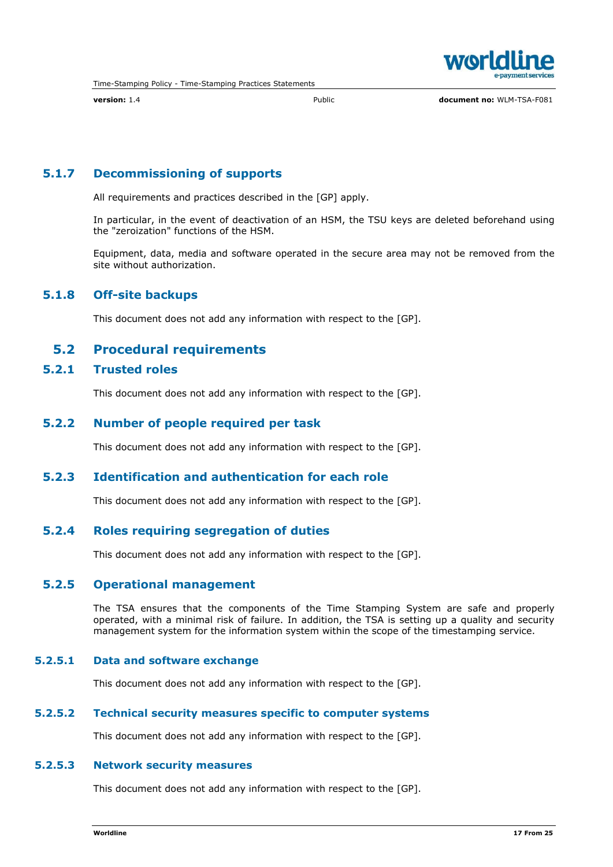

version: 1.4 Public document no: WLM-TSA-F081

### 5.1.7 Decommissioning of supports

All requirements and practices described in the [GP] apply.

In particular, in the event of deactivation of an HSM, the TSU keys are deleted beforehand using the "zeroization" functions of the HSM.

Equipment, data, media and software operated in the secure area may not be removed from the site without authorization.

#### 5.1.8 Off-site backups

This document does not add any information with respect to the [GP].

#### 5.2 Procedural requirements

### 5.2.1 Trusted roles

This document does not add any information with respect to the [GP].

#### 5.2.2 Number of people required per task

This document does not add any information with respect to the [GP].

#### 5.2.3 Identification and authentication for each role

This document does not add any information with respect to the [GP].

#### 5.2.4 Roles requiring segregation of duties

This document does not add any information with respect to the [GP].

#### 5.2.5 Operational management

The TSA ensures that the components of the Time Stamping System are safe and properly operated, with a minimal risk of failure. In addition, the TSA is setting up a quality and security management system for the information system within the scope of the timestamping service.

#### 5.2.5.1 Data and software exchange

This document does not add any information with respect to the [GP].

#### 5.2.5.2 Technical security measures specific to computer systems

This document does not add any information with respect to the [GP].

#### 5.2.5.3 Network security measures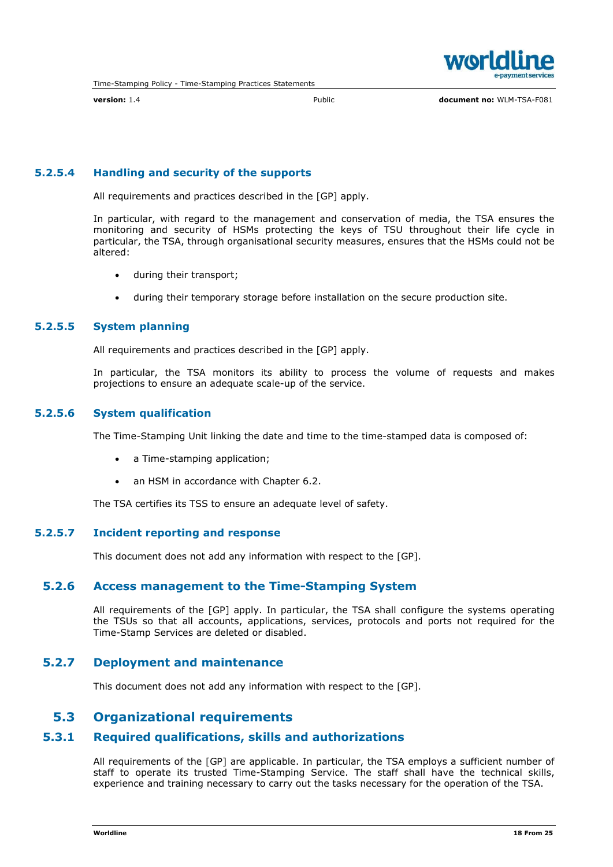

version: 1.4 Public document no: WLM-TSA-F081

#### 5.2.5.4 Handling and security of the supports

All requirements and practices described in the [GP] apply.

In particular, with regard to the management and conservation of media, the TSA ensures the monitoring and security of HSMs protecting the keys of TSU throughout their life cycle in particular, the TSA, through organisational security measures, ensures that the HSMs could not be altered:

- during their transport;
- during their temporary storage before installation on the secure production site.

#### 5.2.5.5 System planning

All requirements and practices described in the [GP] apply.

In particular, the TSA monitors its ability to process the volume of requests and makes projections to ensure an adequate scale-up of the service.

#### 5.2.5.6 System qualification

The Time-Stamping Unit linking the date and time to the time-stamped data is composed of:

- a Time-stamping application;
- an HSM in accordance with Chapter 6.2.

The TSA certifies its TSS to ensure an adequate level of safety.

#### 5.2.5.7 Incident reporting and response

This document does not add any information with respect to the [GP].

#### 5.2.6 Access management to the Time-Stamping System

All requirements of the [GP] apply. In particular, the TSA shall configure the systems operating the TSUs so that all accounts, applications, services, protocols and ports not required for the Time-Stamp Services are deleted or disabled.

#### 5.2.7 Deployment and maintenance

This document does not add any information with respect to the [GP].

#### 5.3 Organizational requirements

## 5.3.1 Required qualifications, skills and authorizations

All requirements of the [GP] are applicable. In particular, the TSA employs a sufficient number of staff to operate its trusted Time-Stamping Service. The staff shall have the technical skills, experience and training necessary to carry out the tasks necessary for the operation of the TSA.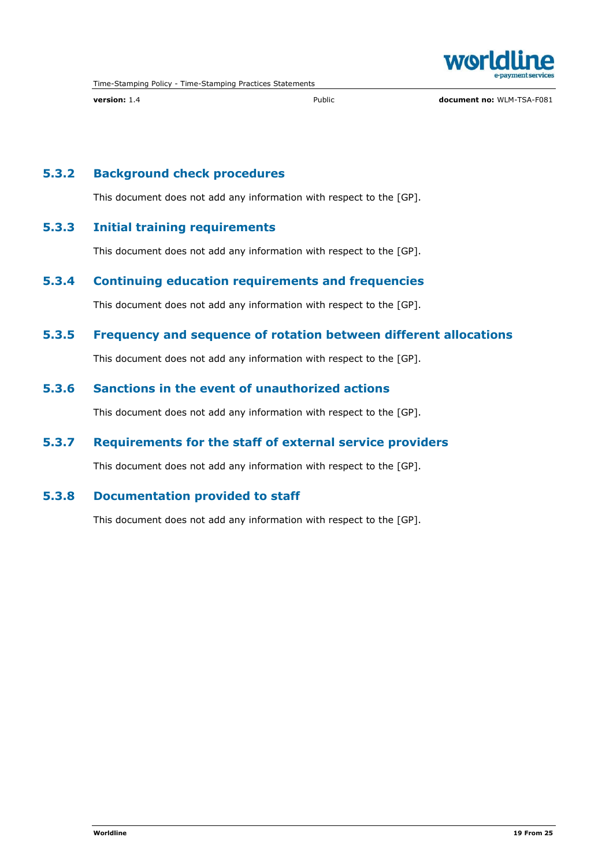

version: 1.4 **Public document no: WLM-TSA-F081** Public document no: WLM-TSA-F081

## 5.3.2 Background check procedures

This document does not add any information with respect to the [GP].

#### 5.3.3 Initial training requirements

This document does not add any information with respect to the [GP].

#### 5.3.4 Continuing education requirements and frequencies

This document does not add any information with respect to the [GP].

## 5.3.5 Frequency and sequence of rotation between different allocations

This document does not add any information with respect to the [GP].

#### 5.3.6 Sanctions in the event of unauthorized actions

This document does not add any information with respect to the [GP].

## 5.3.7 Requirements for the staff of external service providers

This document does not add any information with respect to the [GP].

#### 5.3.8 Documentation provided to staff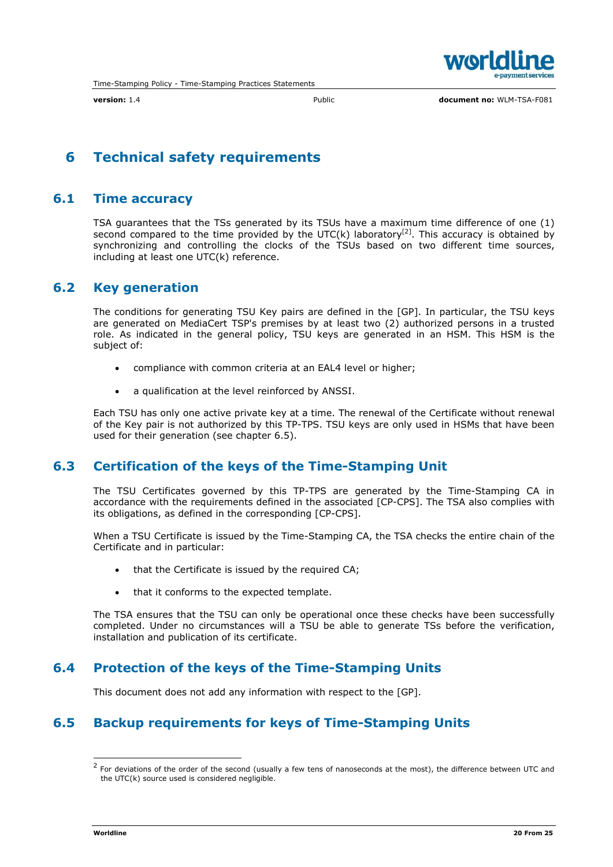

## 6 Technical safety requirements

## 6.1 Time accuracy

TSA guarantees that the TSs generated by its TSUs have a maximum time difference of one (1) second compared to the time provided by the UTC(k) laboratory<sup>[2]</sup>. This accuracy is obtained by synchronizing and controlling the clocks of the TSUs based on two different time sources, including at least one UTC(k) reference.

## 6.2 Key generation

The conditions for generating TSU Key pairs are defined in the [GP]. In particular, the TSU keys are generated on MediaCert TSP's premises by at least two (2) authorized persons in a trusted role. As indicated in the general policy, TSU keys are generated in an HSM. This HSM is the subject of:

- compliance with common criteria at an EAL4 level or higher;
- a qualification at the level reinforced by ANSSI.

Each TSU has only one active private key at a time. The renewal of the Certificate without renewal of the Key pair is not authorized by this TP-TPS. TSU keys are only used in HSMs that have been used for their generation (see chapter 6.5).

## 6.3 Certification of the keys of the Time-Stamping Unit

The TSU Certificates governed by this TP-TPS are generated by the Time-Stamping CA in accordance with the requirements defined in the associated [CP-CPS]. The TSA also complies with its obligations, as defined in the corresponding [CP-CPS].

When a TSU Certificate is issued by the Time-Stamping CA, the TSA checks the entire chain of the Certificate and in particular:

- that the Certificate is issued by the required CA;
- that it conforms to the expected template.

The TSA ensures that the TSU can only be operational once these checks have been successfully completed. Under no circumstances will a TSU be able to generate TSs before the verification, installation and publication of its certificate.

## 6.4 Protection of the keys of the Time-Stamping Units

This document does not add any information with respect to the [GP].

## 6.5 Backup requirements for keys of Time-Stamping Units

 $2$  For deviations of the order of the second (usually a few tens of nanoseconds at the most), the difference between UTC and the UTC(k) source used is considered negligible.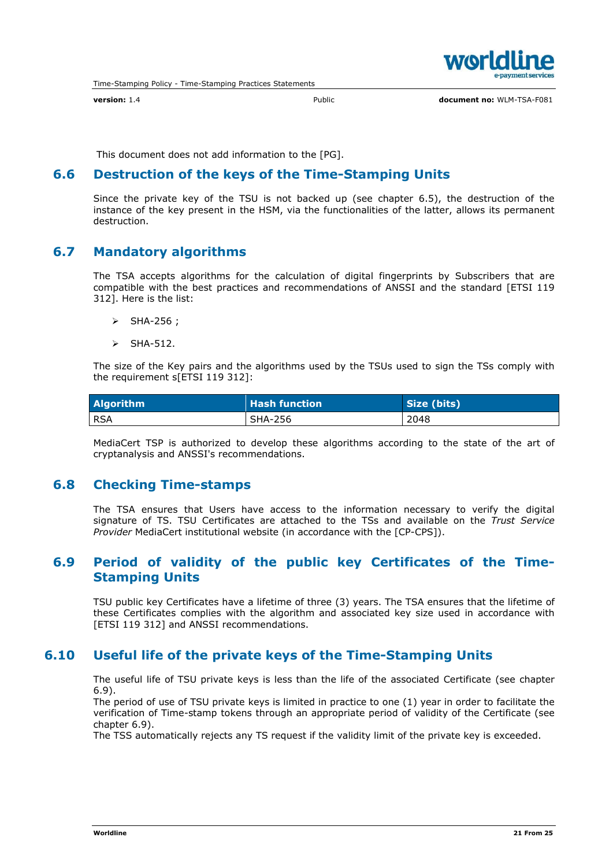

version: 1.4 **Public** Public **document no: WLM-TSA-F081** 

This document does not add information to the [PG].

## 6.6 Destruction of the keys of the Time-Stamping Units

Since the private key of the TSU is not backed up (see chapter 6.5), the destruction of the instance of the key present in the HSM, via the functionalities of the latter, allows its permanent destruction.

## 6.7 Mandatory algorithms

The TSA accepts algorithms for the calculation of digital fingerprints by Subscribers that are compatible with the best practices and recommendations of ANSSI and the standard [ETSI 119 312]. Here is the list:

- $\triangleright$  SHA-256 ;
- $\triangleright$  SHA-512.

The size of the Key pairs and the algorithms used by the TSUs used to sign the TSs comply with the requirement s[ETSI 119 312]:

| <b>Algorithm</b> | $\sf I$ Hash function $\sf I$ | Size (bits) |
|------------------|-------------------------------|-------------|
| l RSA            | SHA-256                       | 2048        |

MediaCert TSP is authorized to develop these algorithms according to the state of the art of cryptanalysis and ANSSI's recommendations.

## 6.8 Checking Time-stamps

The TSA ensures that Users have access to the information necessary to verify the digital signature of TS. TSU Certificates are attached to the TSs and available on the *Trust Service Provider* MediaCert institutional website (in accordance with the [CP-CPS]).

## 6.9 Period of validity of the public key Certificates of the Time-Stamping Units

TSU public key Certificates have a lifetime of three (3) years. The TSA ensures that the lifetime of these Certificates complies with the algorithm and associated key size used in accordance with [ETSI 119 312] and ANSSI recommendations.

## 6.10 Useful life of the private keys of the Time-Stamping Units

The useful life of TSU private keys is less than the life of the associated Certificate (see chapter 6.9).

The period of use of TSU private keys is limited in practice to one (1) year in order to facilitate the verification of Time-stamp tokens through an appropriate period of validity of the Certificate (see chapter 6.9).

The TSS automatically rejects any TS request if the validity limit of the private key is exceeded.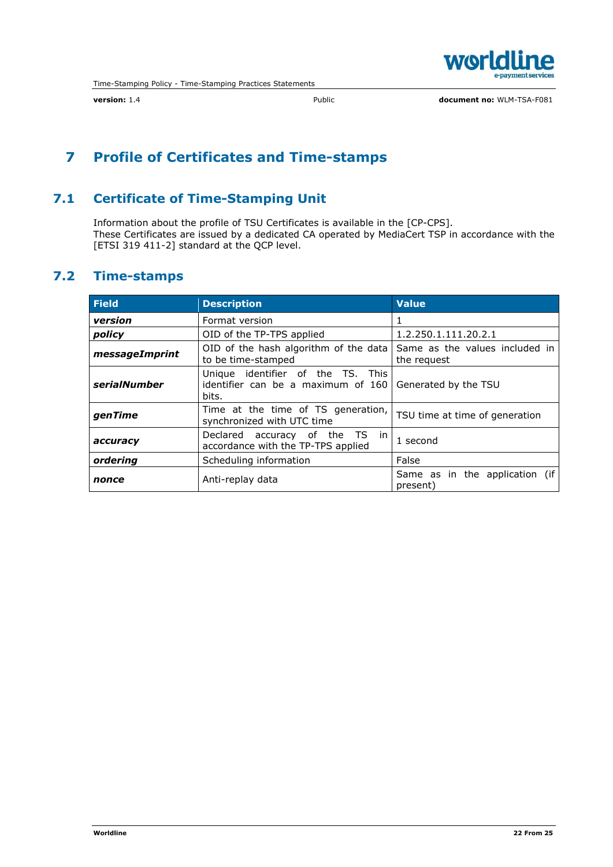

## 7 Profile of Certificates and Time-stamps

## 7.1 Certificate of Time-Stamping Unit

Information about the profile of TSU Certificates is available in the [CP-CPS]. These Certificates are issued by a dedicated CA operated by MediaCert TSP in accordance with the [ETSI 319 411-2] standard at the QCP level.

## 7.2 Time-stamps

| <b>Field</b>   | <b>Description</b>                                                                                       | <b>Value</b>                                  |  |
|----------------|----------------------------------------------------------------------------------------------------------|-----------------------------------------------|--|
| version        | Format version                                                                                           |                                               |  |
| policy         | OID of the TP-TPS applied                                                                                | 1.2.250.1.111.20.2.1                          |  |
| messageImprint | OID of the hash algorithm of the data<br>to be time-stamped                                              | Same as the values included in<br>the reguest |  |
| serialNumber   | Unique identifier of the TS. This<br>identifier can be a maximum of 160<br>Generated by the TSU<br>bits. |                                               |  |
| genTime        | Time at the time of TS generation,<br>TSU time at time of generation<br>synchronized with UTC time       |                                               |  |
| accuracy       | Declared accuracy of the TS in<br>1 second<br>accordance with the TP-TPS applied                         |                                               |  |
| ordering       | False<br>Scheduling information                                                                          |                                               |  |
| nonce          | Anti-replay data                                                                                         | Same as in the application (if<br>present)    |  |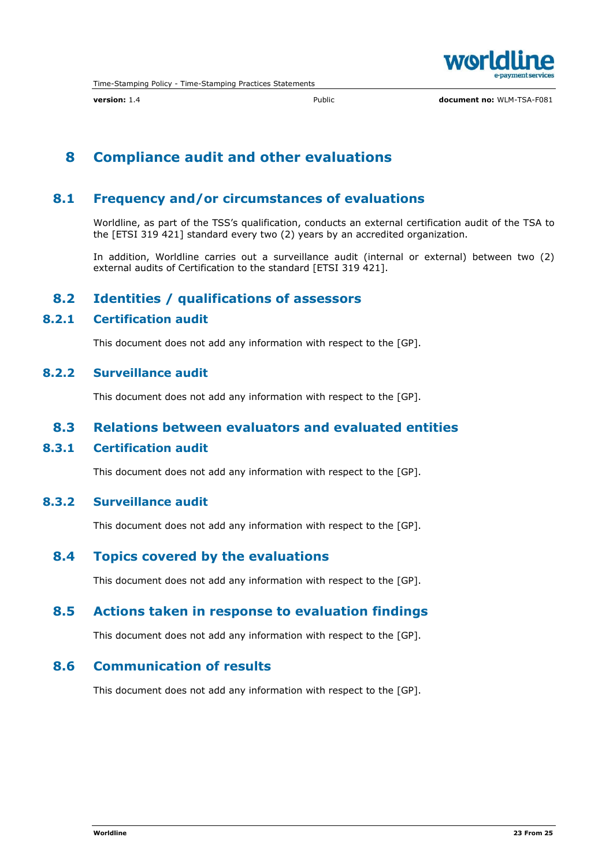

## 8 Compliance audit and other evaluations

## 8.1 Frequency and/or circumstances of evaluations

Worldline, as part of the TSS's qualification, conducts an external certification audit of the TSA to the [ETSI 319 421] standard every two (2) years by an accredited organization.

In addition, Worldline carries out a surveillance audit (internal or external) between two (2) external audits of Certification to the standard [ETSI 319 421].

## 8.2 Identities / qualifications of assessors

#### 8.2.1 Certification audit

This document does not add any information with respect to the [GP].

#### 8.2.2 Surveillance audit

This document does not add any information with respect to the [GP].

### 8.3 Relations between evaluators and evaluated entities

#### 8.3.1 Certification audit

This document does not add any information with respect to the [GP].

### 8.3.2 Surveillance audit

This document does not add any information with respect to the [GP].

#### 8.4 Topics covered by the evaluations

This document does not add any information with respect to the [GP].

#### 8.5 Actions taken in response to evaluation findings

This document does not add any information with respect to the [GP].

### 8.6 Communication of results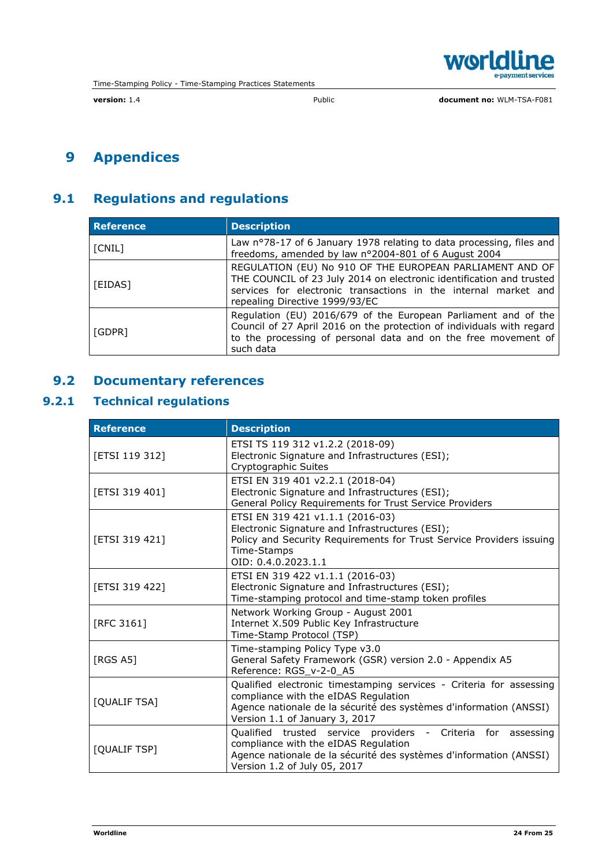

# 9 Appendices

## 9.1 Regulations and regulations

| <b>Reference</b> | <b>Description</b>                                                                                                                                                                                                                    |
|------------------|---------------------------------------------------------------------------------------------------------------------------------------------------------------------------------------------------------------------------------------|
| [CNIL]           | Law nº78-17 of 6 January 1978 relating to data processing, files and<br>freedoms, amended by law nº2004-801 of 6 August 2004                                                                                                          |
| [EIDAS]          | REGULATION (EU) No 910 OF THE EUROPEAN PARLIAMENT AND OF<br>THE COUNCIL of 23 July 2014 on electronic identification and trusted<br>services for electronic transactions in the internal market and<br>repealing Directive 1999/93/EC |
| [GDPR]           | Regulation (EU) 2016/679 of the European Parliament and of the<br>Council of 27 April 2016 on the protection of individuals with regard<br>to the processing of personal data and on the free movement of<br>such data                |

## 9.2 Documentary references

## 9.2.1 Technical regulations

| <b>Reference</b> | <b>Description</b>                                                                                                                                                                                                  |
|------------------|---------------------------------------------------------------------------------------------------------------------------------------------------------------------------------------------------------------------|
| [ETSI 119 312]   | ETSI TS 119 312 v1.2.2 (2018-09)<br>Electronic Signature and Infrastructures (ESI);<br>Cryptographic Suites                                                                                                         |
| [ETSI 319 401]   | ETSI EN 319 401 v2.2.1 (2018-04)<br>Electronic Signature and Infrastructures (ESI);<br>General Policy Requirements for Trust Service Providers                                                                      |
| [ETSI 319 421]   | ETSI EN 319 421 v1.1.1 (2016-03)<br>Electronic Signature and Infrastructures (ESI);<br>Policy and Security Requirements for Trust Service Providers issuing<br>Time-Stamps<br>OID: 0.4.0.2023.1.1                   |
| [ETSI 319 422]   | ETSI EN 319 422 v1.1.1 (2016-03)<br>Electronic Signature and Infrastructures (ESI);<br>Time-stamping protocol and time-stamp token profiles                                                                         |
| [RFC 3161]       | Network Working Group - August 2001<br>Internet X.509 Public Key Infrastructure<br>Time-Stamp Protocol (TSP)                                                                                                        |
| <b>[RGS A5]</b>  | Time-stamping Policy Type v3.0<br>General Safety Framework (GSR) version 2.0 - Appendix A5<br>Reference: RGS_v-2-0_A5                                                                                               |
| [QUALIF TSA]     | Qualified electronic timestamping services - Criteria for assessing<br>compliance with the eIDAS Regulation<br>Agence nationale de la sécurité des systèmes d'information (ANSSI)<br>Version 1.1 of January 3, 2017 |
| [QUALIF TSP]     | Qualified trusted service providers - Criteria for assessing<br>compliance with the eIDAS Regulation<br>Agence nationale de la sécurité des systèmes d'information (ANSSI)<br>Version 1.2 of July 05, 2017          |